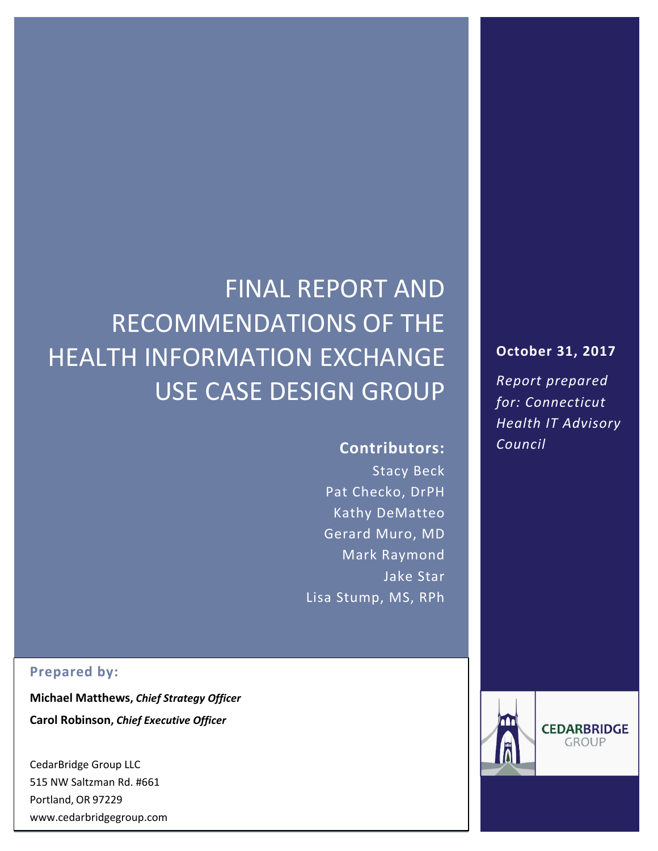# FINAL REPORT AND RECOMMENDATIONS OF THE HEALTH INFORMATION EXCHANGE USE CASE DESIGN GROUP

**Contributors:**

Stacy Beck Pat Checko, DrPH Kathy DeMatteo Gerard Muro, MD Mark Raymond Jake Star Lisa Stump, MS, RPh

#### **Prepared by:**

**Michael Matthews,** *Chief Strategy Officer* **Carol Robinson,** *Chief Executive Officer*

CedarBridge Group LLC 515 NW Saltzman Rd. #661 Portland, OR 97229 www.cedarbridgegroup.com

### **October 31, 2017**

*Report prepared for: Connecticut Health IT Advisory Council*

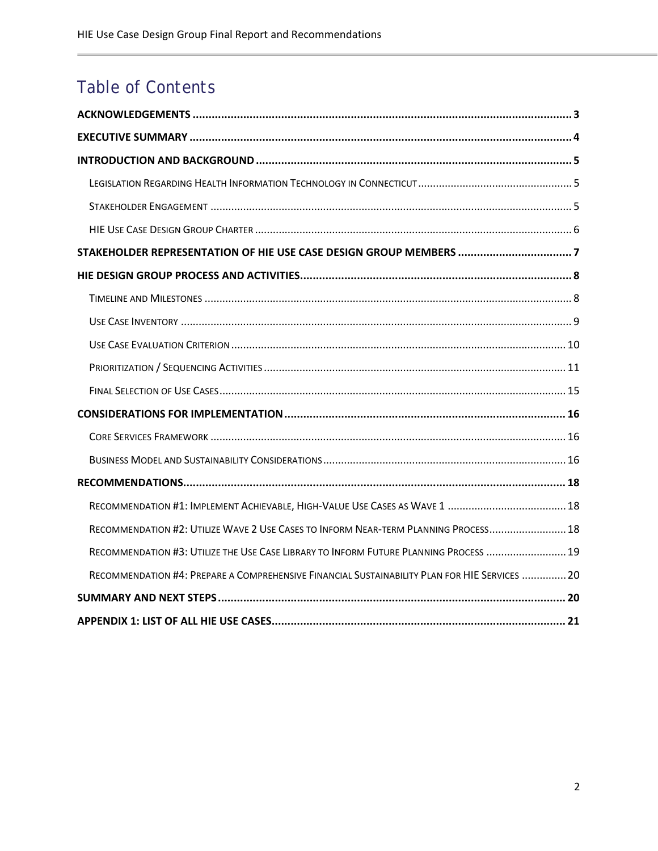## Table of Contents

| RECOMMENDATION #2: UTILIZE WAVE 2 USE CASES TO INFORM NEAR-TERM PLANNING PROCESS 18           |
|-----------------------------------------------------------------------------------------------|
| RECOMMENDATION #3: UTILIZE THE USE CASE LIBRARY TO INFORM FUTURE PLANNING PROCESS  19         |
| RECOMMENDATION #4: PREPARE A COMPREHENSIVE FINANCIAL SUSTAINABILITY PLAN FOR HIE SERVICES  20 |
|                                                                                               |
|                                                                                               |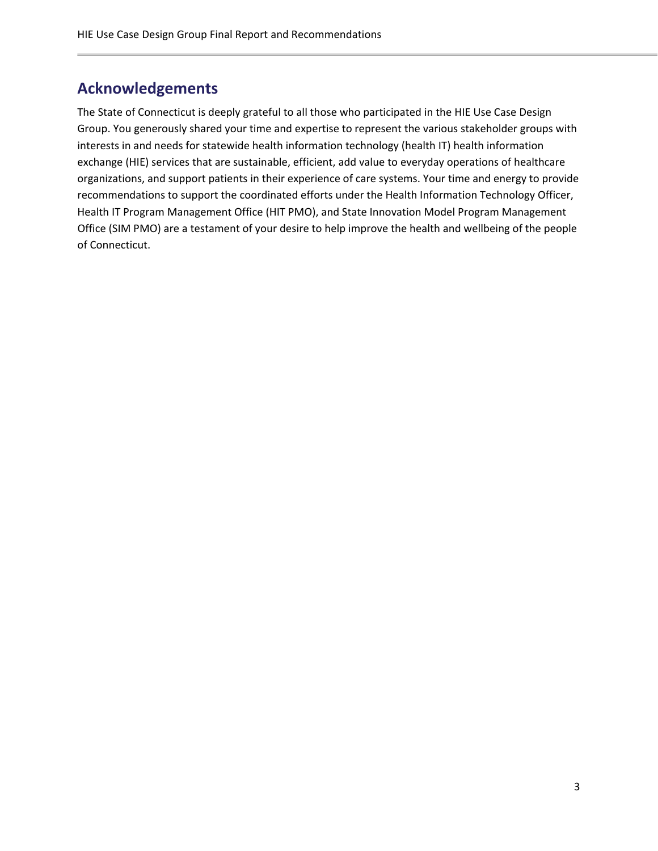## <span id="page-2-0"></span>**Acknowledgements**

The State of Connecticut is deeply grateful to all those who participated in the HIE Use Case Design Group. You generously shared your time and expertise to represent the various stakeholder groups with interests in and needs for statewide health information technology (health IT) health information exchange (HIE) services that are sustainable, efficient, add value to everyday operations of healthcare organizations, and support patients in their experience of care systems. Your time and energy to provide recommendations to support the coordinated efforts under the Health Information Technology Officer, Health IT Program Management Office (HIT PMO), and State Innovation Model Program Management Office (SIM PMO) are a testament of your desire to help improve the health and wellbeing of the people of Connecticut.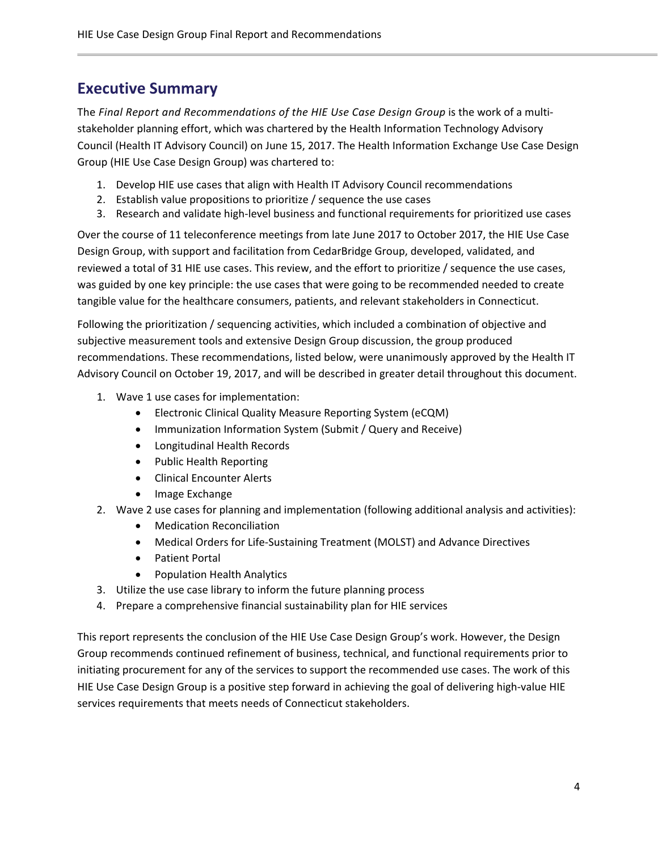## <span id="page-3-0"></span>**Executive Summary**

The *Final Report and Recommendations of the HIE Use Case Design Group* is the work of a multistakeholder planning effort, which was chartered by the Health Information Technology Advisory Council (Health IT Advisory Council) on June 15, 2017. The Health Information Exchange Use Case Design Group (HIE Use Case Design Group) was chartered to:

- 1. Develop HIE use cases that align with Health IT Advisory Council recommendations
- 2. Establish value propositions to prioritize / sequence the use cases
- 3. Research and validate high-level business and functional requirements for prioritized use cases

Over the course of 11 teleconference meetings from late June 2017 to October 2017, the HIE Use Case Design Group, with support and facilitation from CedarBridge Group, developed, validated, and reviewed a total of 31 HIE use cases. This review, and the effort to prioritize / sequence the use cases, was guided by one key principle: the use cases that were going to be recommended needed to create tangible value for the healthcare consumers, patients, and relevant stakeholders in Connecticut.

Following the prioritization / sequencing activities, which included a combination of objective and subjective measurement tools and extensive Design Group discussion, the group produced recommendations. These recommendations, listed below, were unanimously approved by the Health IT Advisory Council on October 19, 2017, and will be described in greater detail throughout this document.

- 1. Wave 1 use cases for implementation:
	- Electronic Clinical Quality Measure Reporting System (eCQM)
	- Immunization Information System (Submit / Query and Receive)
	- Longitudinal Health Records
	- Public Health Reporting
	- Clinical Encounter Alerts
	- Image Exchange
- 2. Wave 2 use cases for planning and implementation (following additional analysis and activities):
	- Medication Reconciliation
	- Medical Orders for Life-Sustaining Treatment (MOLST) and Advance Directives
	- Patient Portal
	- Population Health Analytics
- 3. Utilize the use case library to inform the future planning process
- 4. Prepare a comprehensive financial sustainability plan for HIE services

This report represents the conclusion of the HIE Use Case Design Group's work. However, the Design Group recommends continued refinement of business, technical, and functional requirements prior to initiating procurement for any of the services to support the recommended use cases. The work of this HIE Use Case Design Group is a positive step forward in achieving the goal of delivering high-value HIE services requirements that meets needs of Connecticut stakeholders.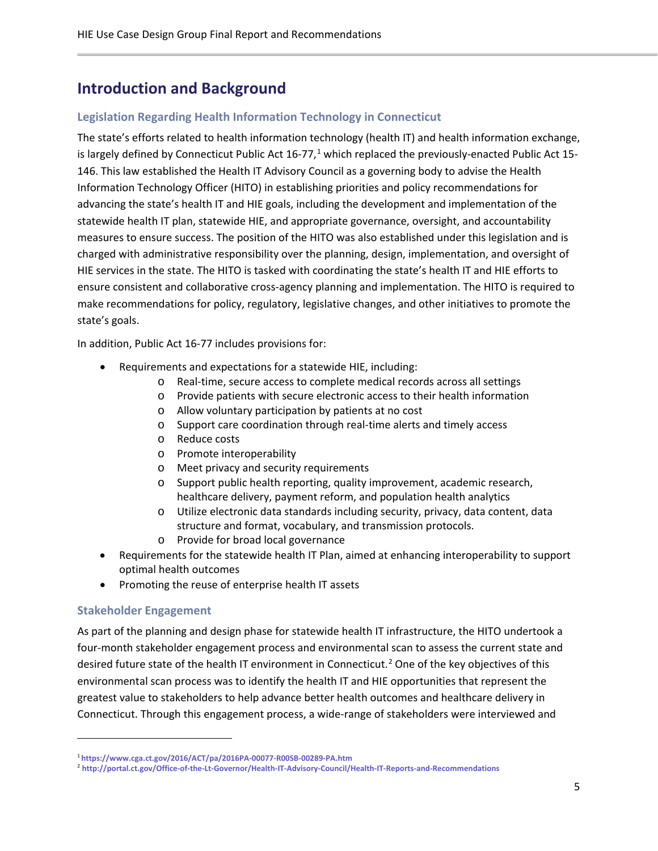## <span id="page-4-0"></span>**Introduction and Background**

#### <span id="page-4-1"></span>**Legislation Regarding Health Information Technology in Connecticut**

The state's efforts related to health information technology (health IT) and health information exchange, is largely defined by Connecticut Public Act [1](#page-4-3)6-77,<sup>1</sup> which replaced the previously-enacted Public Act 15-146. This law established the Health IT Advisory Council as a governing body to advise the Health Information Technology Officer (HITO) in establishing priorities and policy recommendations for advancing the state's health IT and HIE goals, including the development and implementation of the statewide health IT plan, statewide HIE, and appropriate governance, oversight, and accountability measures to ensure success. The position of the HITO was also established under this legislation and is charged with administrative responsibility over the planning, design, implementation, and oversight of HIE services in the state. The HITO is tasked with coordinating the state's health IT and HIE efforts to ensure consistent and collaborative cross-agency planning and implementation. The HITO is required to make recommendations for policy, regulatory, legislative changes, and other initiatives to promote the state's goals.

In addition, Public Act 16-77 includes provisions for:

- Requirements and expectations for a statewide HIE, including:
	- o Real-time, secure access to complete medical records across all settings
	- o Provide patients with secure electronic access to their health information
	- o Allow voluntary participation by patients at no cost
	- o Support care coordination through real-time alerts and timely access
	- o Reduce costs
	- o Promote interoperability
	- o Meet privacy and security requirements
	- o Support public health reporting, quality improvement, academic research, healthcare delivery, payment reform, and population health analytics
	- o Utilize electronic data standards including security, privacy, data content, data structure and format, vocabulary, and transmission protocols.
	- o Provide for broad local governance
- Requirements for the statewide health IT Plan, aimed at enhancing interoperability to support optimal health outcomes
- Promoting the reuse of enterprise health IT assets

#### <span id="page-4-2"></span>**Stakeholder Engagement**

 $\overline{\phantom{a}}$ 

As part of the planning and design phase for statewide health IT infrastructure, the HITO undertook a four-month stakeholder engagement process and environmental scan to assess the current state and desired future state of the health IT environment in Connecticut.<sup>[2](#page-4-4)</sup> One of the key objectives of this environmental scan process was to identify the health IT and HIE opportunities that represent the greatest value to stakeholders to help advance better health outcomes and healthcare delivery in Connecticut. Through this engagement process, a wide-range of stakeholders were interviewed and

<span id="page-4-3"></span><sup>1</sup> **<https://www.cga.ct.gov/2016/ACT/pa/2016PA-00077-R00SB-00289-PA.htm>**

<span id="page-4-4"></span><sup>2</sup> **<http://portal.ct.gov/Office-of-the-Lt-Governor/Health-IT-Advisory-Council/Health-IT-Reports-and-Recommendations>**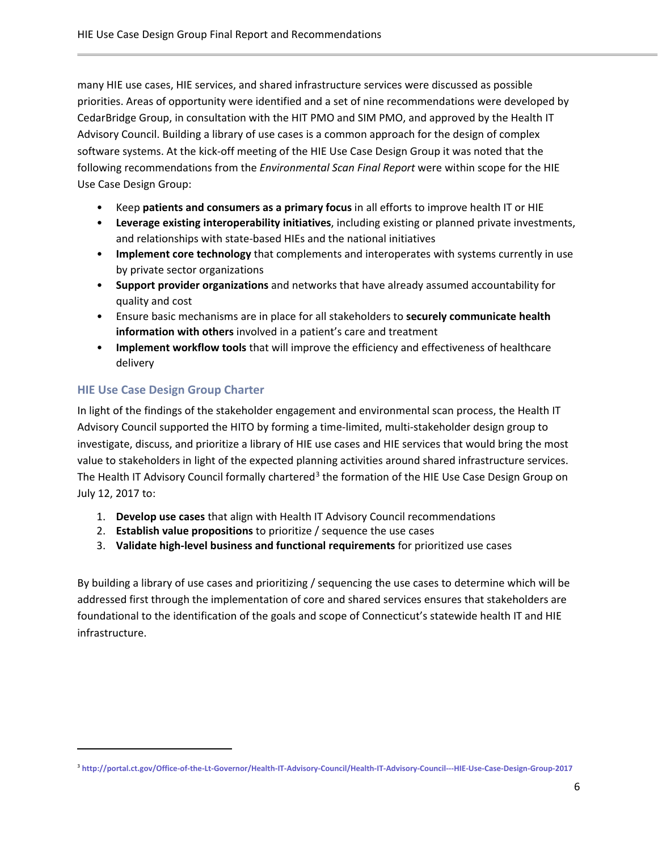many HIE use cases, HIE services, and shared infrastructure services were discussed as possible priorities. Areas of opportunity were identified and a set of nine recommendations were developed by CedarBridge Group, in consultation with the HIT PMO and SIM PMO, and approved by the Health IT Advisory Council. Building a library of use cases is a common approach for the design of complex software systems. At the kick-off meeting of the HIE Use Case Design Group it was noted that the following recommendations from the *Environmental Scan Final Report* were within scope for the HIE Use Case Design Group:

- Keep **patients and consumers as a primary focus** in all efforts to improve health IT or HIE
- **Leverage existing interoperability initiatives**, including existing or planned private investments, and relationships with state-based HIEs and the national initiatives
- **Implement core technology** that complements and interoperates with systems currently in use by private sector organizations
- **Support provider organizations** and networks that have already assumed accountability for quality and cost
- Ensure basic mechanisms are in place for all stakeholders to **securely communicate health information with others** involved in a patient's care and treatment
- **Implement workflow tools** that will improve the efficiency and effectiveness of healthcare delivery

#### <span id="page-5-0"></span>**HIE Use Case Design Group Charter**

 $\overline{\phantom{a}}$ 

In light of the findings of the stakeholder engagement and environmental scan process, the Health IT Advisory Council supported the HITO by forming a time-limited, multi-stakeholder design group to investigate, discuss, and prioritize a library of HIE use cases and HIE services that would bring the most value to stakeholders in light of the expected planning activities around shared infrastructure services. The Health IT Advisory Council formally chartered<sup>[3](#page-5-1)</sup> the formation of the HIE Use Case Design Group on July 12, 2017 to:

- 1. **Develop use cases** that align with Health IT Advisory Council recommendations
- 2. **Establish value propositions** to prioritize / sequence the use cases
- 3. **Validate high-level business and functional requirements** for prioritized use cases

By building a library of use cases and prioritizing / sequencing the use cases to determine which will be addressed first through the implementation of core and shared services ensures that stakeholders are foundational to the identification of the goals and scope of Connecticut's statewide health IT and HIE infrastructure.

<span id="page-5-1"></span><sup>3</sup> **<http://portal.ct.gov/Office-of-the-Lt-Governor/Health-IT-Advisory-Council/Health-IT-Advisory-Council---HIE-Use-Case-Design-Group-2017>**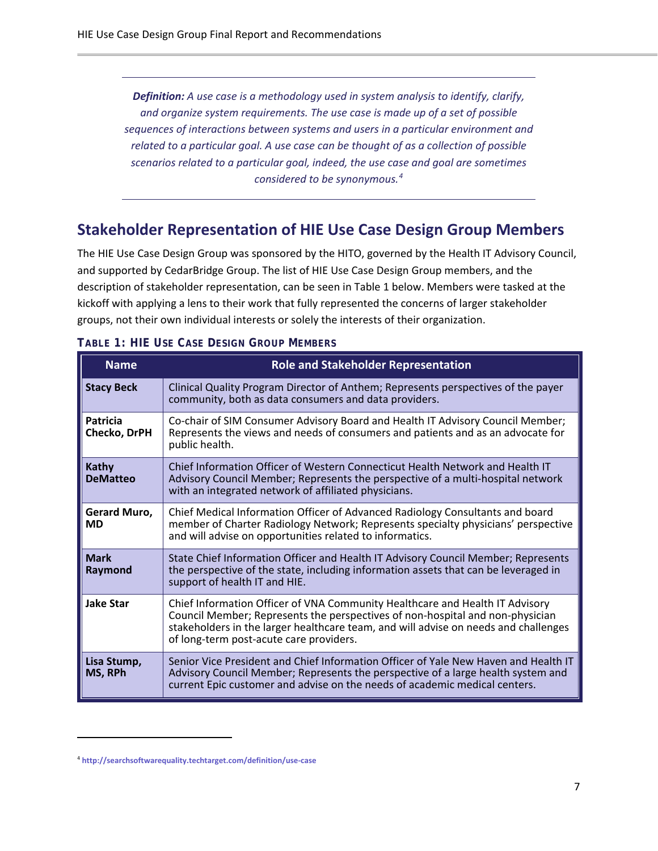*Definition: A use case is a methodology used in system analysis to identify, clarify, and organize system requirements. The use case is made up of a set of possible sequences of interactions between systems and users in a particular environment and related to a particular goal. A use case can be thought of as a collection of possible scenarios related to a particular goal, indeed, the use case and goal are sometimes considered to be synonymous.[4](#page-6-1)*

## <span id="page-6-0"></span>**Stakeholder Representation of HIE Use Case Design Group Members**

The HIE Use Case Design Group was sponsored by the HITO, governed by the Health IT Advisory Council, and supported by CedarBridge Group. The list of HIE Use Case Design Group members, and the description of stakeholder representation, can be seen in Table 1 below. Members were tasked at the kickoff with applying a lens to their work that fully represented the concerns of larger stakeholder groups, not their own individual interests or solely the interests of their organization.

| <b>Name</b>                     | <b>Role and Stakeholder Representation</b>                                                                                                                                                                                                                                                      |
|---------------------------------|-------------------------------------------------------------------------------------------------------------------------------------------------------------------------------------------------------------------------------------------------------------------------------------------------|
| <b>Stacy Beck</b>               | Clinical Quality Program Director of Anthem; Represents perspectives of the payer<br>community, both as data consumers and data providers.                                                                                                                                                      |
| Patricia<br>Checko, DrPH        | Co-chair of SIM Consumer Advisory Board and Health IT Advisory Council Member;<br>Represents the views and needs of consumers and patients and as an advocate for<br>public health.                                                                                                             |
| <b>Kathy</b><br><b>DeMatteo</b> | Chief Information Officer of Western Connecticut Health Network and Health IT<br>Advisory Council Member; Represents the perspective of a multi-hospital network<br>with an integrated network of affiliated physicians.                                                                        |
| Gerard Muro,<br><b>MD</b>       | Chief Medical Information Officer of Advanced Radiology Consultants and board<br>member of Charter Radiology Network; Represents specialty physicians' perspective<br>and will advise on opportunities related to informatics.                                                                  |
| <b>Mark</b><br>Raymond          | State Chief Information Officer and Health IT Advisory Council Member; Represents<br>the perspective of the state, including information assets that can be leveraged in<br>support of health IT and HIE.                                                                                       |
| <b>Jake Star</b>                | Chief Information Officer of VNA Community Healthcare and Health IT Advisory<br>Council Member; Represents the perspectives of non-hospital and non-physician<br>stakeholders in the larger healthcare team, and will advise on needs and challenges<br>of long-term post-acute care providers. |
| Lisa Stump,<br>MS, RPh          | Senior Vice President and Chief Information Officer of Yale New Haven and Health IT<br>Advisory Council Member; Represents the perspective of a large health system and<br>current Epic customer and advise on the needs of academic medical centers.                                           |

#### **TABLE 1: HIE USE CASE DESIGN GROUP MEMBERS**

 $\overline{\phantom{a}}$ 

<span id="page-6-1"></span><sup>4</sup> **<http://searchsoftwarequality.techtarget.com/definition/use-case>**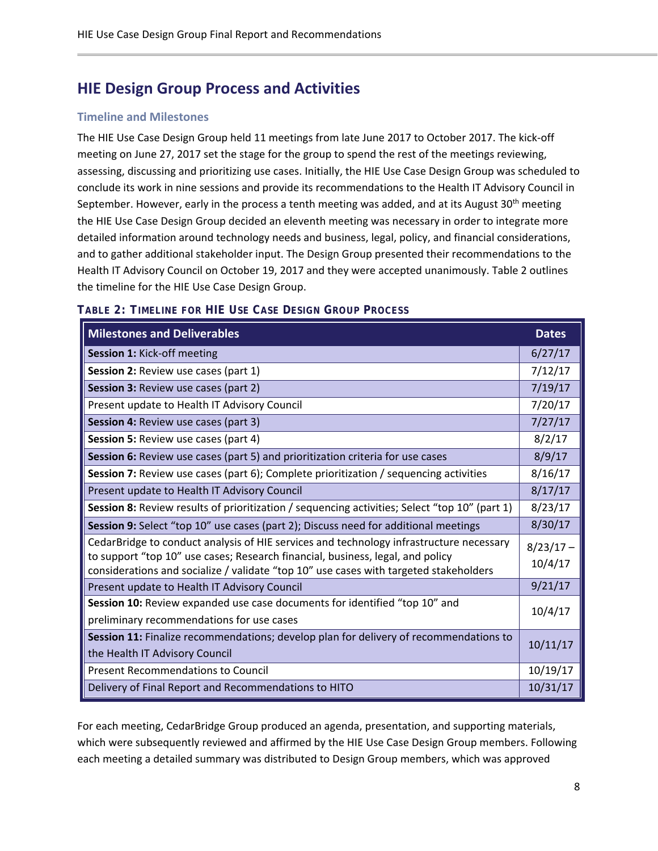## <span id="page-7-0"></span>**HIE Design Group Process and Activities**

#### <span id="page-7-1"></span>**Timeline and Milestones**

The HIE Use Case Design Group held 11 meetings from late June 2017 to October 2017. The kick-off meeting on June 27, 2017 set the stage for the group to spend the rest of the meetings reviewing, assessing, discussing and prioritizing use cases. Initially, the HIE Use Case Design Group was scheduled to conclude its work in nine sessions and provide its recommendations to the Health IT Advisory Council in September. However, early in the process a tenth meeting was added, and at its August 30<sup>th</sup> meeting the HIE Use Case Design Group decided an eleventh meeting was necessary in order to integrate more detailed information around technology needs and business, legal, policy, and financial considerations, and to gather additional stakeholder input. The Design Group presented their recommendations to the Health IT Advisory Council on October 19, 2017 and they were accepted unanimously. Table 2 outlines the timeline for the HIE Use Case Design Group.

| <b>Milestones and Deliverables</b>                                                                                                                                                                                                                                 | <b>Dates</b>           |
|--------------------------------------------------------------------------------------------------------------------------------------------------------------------------------------------------------------------------------------------------------------------|------------------------|
| Session 1: Kick-off meeting                                                                                                                                                                                                                                        | 6/27/17                |
| Session 2: Review use cases (part 1)                                                                                                                                                                                                                               | 7/12/17                |
| <b>Session 3: Review use cases (part 2)</b>                                                                                                                                                                                                                        | 7/19/17                |
| Present update to Health IT Advisory Council                                                                                                                                                                                                                       | 7/20/17                |
| <b>Session 4: Review use cases (part 3)</b>                                                                                                                                                                                                                        | 7/27/17                |
| <b>Session 5: Review use cases (part 4)</b>                                                                                                                                                                                                                        | 8/2/17                 |
| Session 6: Review use cases (part 5) and prioritization criteria for use cases                                                                                                                                                                                     | 8/9/17                 |
| Session 7: Review use cases (part 6); Complete prioritization / sequencing activities                                                                                                                                                                              | 8/16/17                |
| Present update to Health IT Advisory Council                                                                                                                                                                                                                       | 8/17/17                |
| Session 8: Review results of prioritization / sequencing activities; Select "top 10" (part 1)                                                                                                                                                                      | 8/23/17                |
| Session 9: Select "top 10" use cases (part 2); Discuss need for additional meetings                                                                                                                                                                                | 8/30/17                |
| CedarBridge to conduct analysis of HIE services and technology infrastructure necessary<br>to support "top 10" use cases; Research financial, business, legal, and policy<br>considerations and socialize / validate "top 10" use cases with targeted stakeholders | $8/23/17 -$<br>10/4/17 |
| Present update to Health IT Advisory Council                                                                                                                                                                                                                       | 9/21/17                |
| Session 10: Review expanded use case documents for identified "top 10" and<br>preliminary recommendations for use cases                                                                                                                                            | 10/4/17                |
| Session 11: Finalize recommendations; develop plan for delivery of recommendations to<br>the Health IT Advisory Council                                                                                                                                            | 10/11/17               |
| <b>Present Recommendations to Council</b>                                                                                                                                                                                                                          | 10/19/17               |
| Delivery of Final Report and Recommendations to HITO                                                                                                                                                                                                               | 10/31/17               |

#### **TABLE 2: TIMELINE FOR HIE USE CASE DESIGN GROUP PROCESS**

For each meeting, CedarBridge Group produced an agenda, presentation, and supporting materials, which were subsequently reviewed and affirmed by the HIE Use Case Design Group members. Following each meeting a detailed summary was distributed to Design Group members, which was approved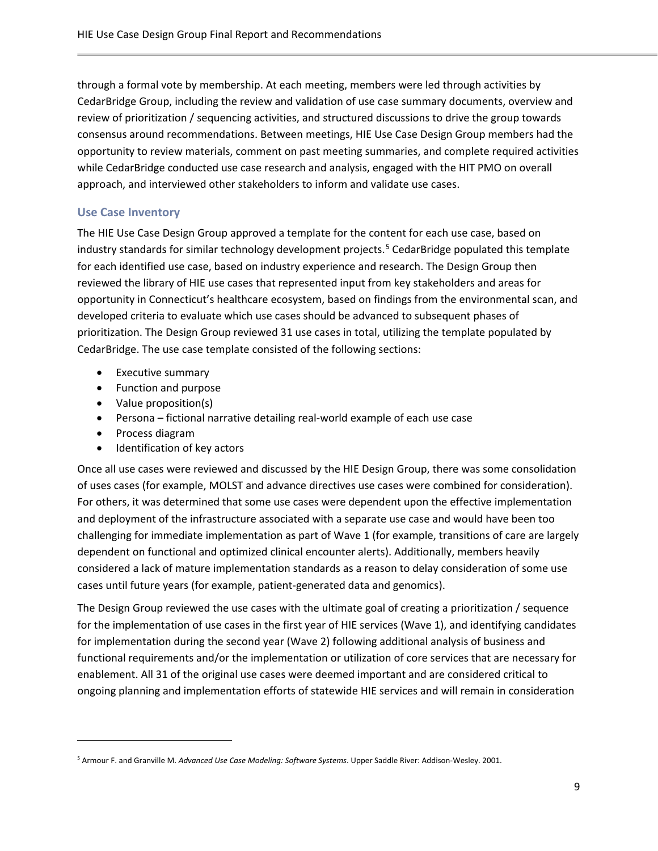through a formal vote by membership. At each meeting, members were led through activities by CedarBridge Group, including the review and validation of use case summary documents, overview and review of prioritization / sequencing activities, and structured discussions to drive the group towards consensus around recommendations. Between meetings, HIE Use Case Design Group members had the opportunity to review materials, comment on past meeting summaries, and complete required activities while CedarBridge conducted use case research and analysis, engaged with the HIT PMO on overall approach, and interviewed other stakeholders to inform and validate use cases.

#### <span id="page-8-0"></span>**Use Case Inventory**

The HIE Use Case Design Group approved a template for the content for each use case, based on industry standards for similar technology development projects. [5](#page-8-1) CedarBridge populated this template for each identified use case, based on industry experience and research. The Design Group then reviewed the library of HIE use cases that represented input from key stakeholders and areas for opportunity in Connecticut's healthcare ecosystem, based on findings from the environmental scan, and developed criteria to evaluate which use cases should be advanced to subsequent phases of prioritization. The Design Group reviewed 31 use cases in total, utilizing the template populated by CedarBridge. The use case template consisted of the following sections:

- Executive summary
- Function and purpose
- Value proposition(s)
- Persona fictional narrative detailing real-world example of each use case
- Process diagram

 $\overline{\phantom{a}}$ 

• Identification of key actors

Once all use cases were reviewed and discussed by the HIE Design Group, there was some consolidation of uses cases (for example, MOLST and advance directives use cases were combined for consideration). For others, it was determined that some use cases were dependent upon the effective implementation and deployment of the infrastructure associated with a separate use case and would have been too challenging for immediate implementation as part of Wave 1 (for example, transitions of care are largely dependent on functional and optimized clinical encounter alerts). Additionally, members heavily considered a lack of mature implementation standards as a reason to delay consideration of some use cases until future years (for example, patient-generated data and genomics).

The Design Group reviewed the use cases with the ultimate goal of creating a prioritization / sequence for the implementation of use cases in the first year of HIE services (Wave 1), and identifying candidates for implementation during the second year (Wave 2) following additional analysis of business and functional requirements and/or the implementation or utilization of core services that are necessary for enablement. All 31 of the original use cases were deemed important and are considered critical to ongoing planning and implementation efforts of statewide HIE services and will remain in consideration

<span id="page-8-1"></span><sup>5</sup> Armour F. and Granville M. *Advanced Use Case Modeling: Software Systems*. Upper Saddle River: Addison-Wesley. 2001.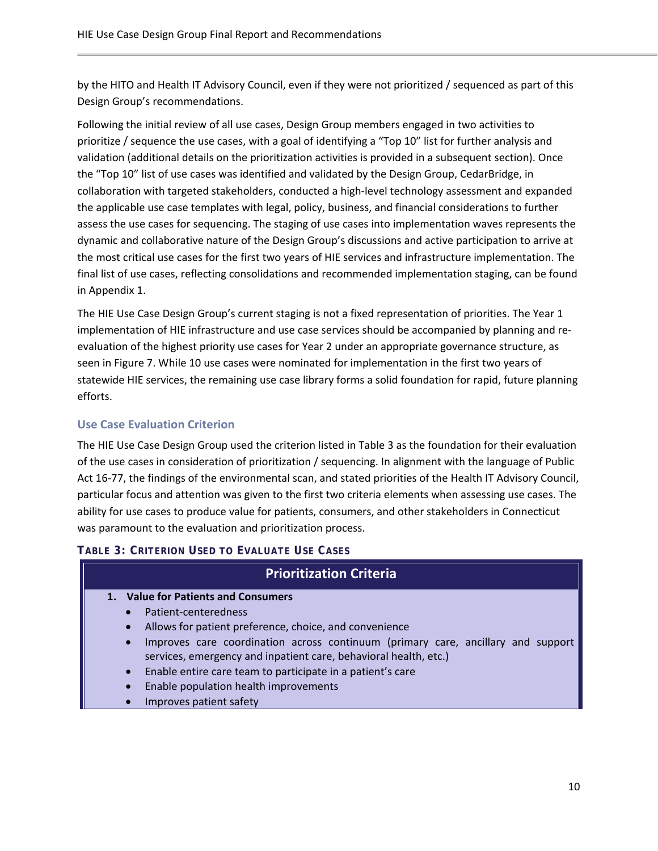by the HITO and Health IT Advisory Council, even if they were not prioritized / sequenced as part of this Design Group's recommendations.

Following the initial review of all use cases, Design Group members engaged in two activities to prioritize / sequence the use cases, with a goal of identifying a "Top 10" list for further analysis and validation (additional details on the prioritization activities is provided in a subsequent section). Once the "Top 10" list of use cases was identified and validated by the Design Group, CedarBridge, in collaboration with targeted stakeholders, conducted a high-level technology assessment and expanded the applicable use case templates with legal, policy, business, and financial considerations to further assess the use cases for sequencing. The staging of use cases into implementation waves represents the dynamic and collaborative nature of the Design Group's discussions and active participation to arrive at the most critical use cases for the first two years of HIE services and infrastructure implementation. The final list of use cases, reflecting consolidations and recommended implementation staging, can be found in Appendix 1.

The HIE Use Case Design Group's current staging is not a fixed representation of priorities. The Year 1 implementation of HIE infrastructure and use case services should be accompanied by planning and reevaluation of the highest priority use cases for Year 2 under an appropriate governance structure, as seen in Figure 7. While 10 use cases were nominated for implementation in the first two years of statewide HIE services, the remaining use case library forms a solid foundation for rapid, future planning efforts.

#### <span id="page-9-0"></span>**Use Case Evaluation Criterion**

The HIE Use Case Design Group used the criterion listed in Table 3 as the foundation for their evaluation of the use cases in consideration of prioritization / sequencing. In alignment with the language of Public Act 16-77, the findings of the environmental scan, and stated priorities of the Health IT Advisory Council, particular focus and attention was given to the first two criteria elements when assessing use cases. The ability for use cases to produce value for patients, consumers, and other stakeholders in Connecticut was paramount to the evaluation and prioritization process.

#### **TABLE 3: CRITERION USED TO EVALUATE USE CASES**

#### **Prioritization Criteria**

- **1. Value for Patients and Consumers**
	- Patient-centeredness
	- Allows for patient preference, choice, and convenience
	- Improves care coordination across continuum (primary care, ancillary and support services, emergency and inpatient care, behavioral health, etc.)
	- Enable entire care team to participate in a patient's care
	- Enable population health improvements
	- Improves patient safety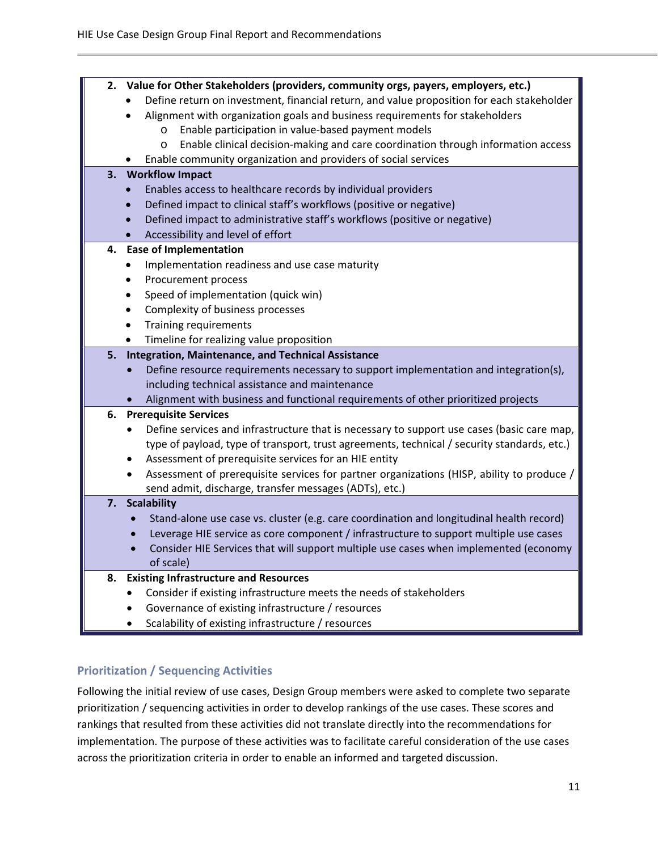| 2. | Value for Other Stakeholders (providers, community orgs, payers, employers, etc.)                       |
|----|---------------------------------------------------------------------------------------------------------|
|    | Define return on investment, financial return, and value proposition for each stakeholder               |
|    | Alignment with organization goals and business requirements for stakeholders                            |
|    | Enable participation in value-based payment models<br>$\circ$                                           |
|    | Enable clinical decision-making and care coordination through information access<br>$\circ$             |
|    | Enable community organization and providers of social services                                          |
| 3. | <b>Workflow Impact</b>                                                                                  |
|    | Enables access to healthcare records by individual providers                                            |
|    | Defined impact to clinical staff's workflows (positive or negative)                                     |
|    | Defined impact to administrative staff's workflows (positive or negative)<br>$\bullet$                  |
|    | Accessibility and level of effort                                                                       |
| 4. | <b>Ease of Implementation</b>                                                                           |
|    | Implementation readiness and use case maturity                                                          |
|    | Procurement process<br>$\bullet$                                                                        |
|    | Speed of implementation (quick win)<br>$\bullet$                                                        |
|    | Complexity of business processes<br>$\bullet$                                                           |
|    | <b>Training requirements</b><br>$\bullet$                                                               |
|    | Timeline for realizing value proposition<br>$\bullet$                                                   |
| 5. | <b>Integration, Maintenance, and Technical Assistance</b>                                               |
|    | Define resource requirements necessary to support implementation and integration(s),<br>$\bullet$       |
|    | including technical assistance and maintenance                                                          |
|    | Alignment with business and functional requirements of other prioritized projects                       |
| 6. | <b>Prerequisite Services</b>                                                                            |
|    | Define services and infrastructure that is necessary to support use cases (basic care map,<br>$\bullet$ |
|    | type of payload, type of transport, trust agreements, technical / security standards, etc.)             |
|    | Assessment of prerequisite services for an HIE entity<br>$\bullet$                                      |
|    | Assessment of prerequisite services for partner organizations (HISP, ability to produce /<br>$\bullet$  |
| 7. | send admit, discharge, transfer messages (ADTs), etc.)<br><b>Scalability</b>                            |
|    | Stand-alone use case vs. cluster (e.g. care coordination and longitudinal health record)<br>$\bullet$   |
|    | Leverage HIE service as core component / infrastructure to support multiple use cases<br>$\bullet$      |
|    | Consider HIE Services that will support multiple use cases when implemented (economy<br>$\bullet$       |
|    | of scale)                                                                                               |
| 8. | <b>Existing Infrastructure and Resources</b>                                                            |
|    | Consider if existing infrastructure meets the needs of stakeholders<br>٠                                |
|    | Governance of existing infrastructure / resources<br>٠                                                  |
|    | Scalability of existing infrastructure / resources                                                      |

#### <span id="page-10-0"></span>**Prioritization / Sequencing Activities**

Following the initial review of use cases, Design Group members were asked to complete two separate prioritization / sequencing activities in order to develop rankings of the use cases. These scores and rankings that resulted from these activities did not translate directly into the recommendations for implementation. The purpose of these activities was to facilitate careful consideration of the use cases across the prioritization criteria in order to enable an informed and targeted discussion.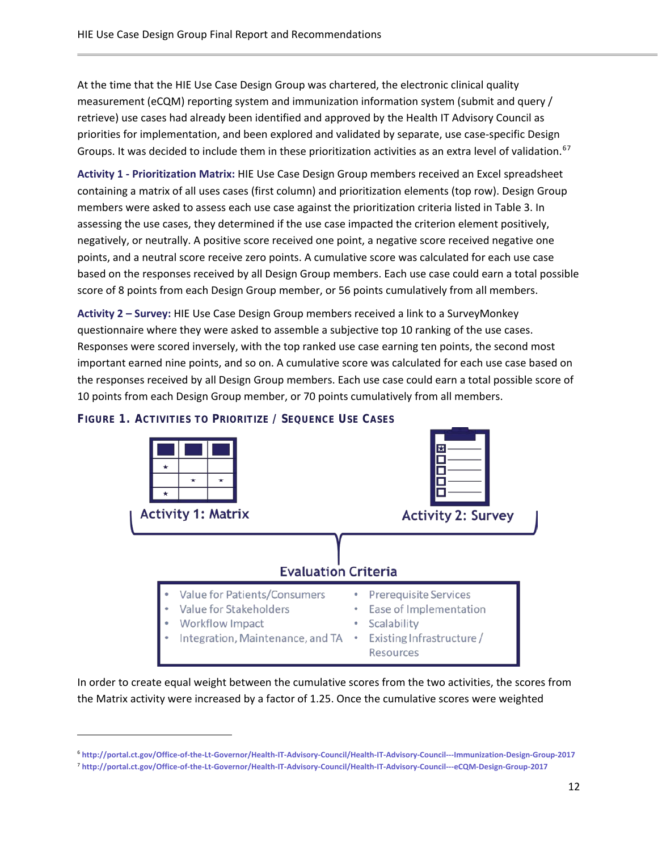At the time that the HIE Use Case Design Group was chartered, the electronic clinical quality measurement (eCQM) reporting system and immunization information system (submit and query / retrieve) use cases had already been identified and approved by the Health IT Advisory Council as priorities for implementation, and been explored and validated by separate, use case-specific Design Groups. It was decided to include them in these prioritization activities as an extra level of validation.<sup>[6](#page-11-0)[7](#page-11-1)</sup>

**Activity 1 - Prioritization Matrix:** HIE Use Case Design Group members received an Excel spreadsheet containing a matrix of all uses cases (first column) and prioritization elements (top row). Design Group members were asked to assess each use case against the prioritization criteria listed in Table 3. In assessing the use cases, they determined if the use case impacted the criterion element positively, negatively, or neutrally. A positive score received one point, a negative score received negative one points, and a neutral score receive zero points. A cumulative score was calculated for each use case based on the responses received by all Design Group members. Each use case could earn a total possible score of 8 points from each Design Group member, or 56 points cumulatively from all members.

**Activity 2 – Survey:** HIE Use Case Design Group members received a link to a SurveyMonkey questionnaire where they were asked to assemble a subjective top 10 ranking of the use cases. Responses were scored inversely, with the top ranked use case earning ten points, the second most important earned nine points, and so on. A cumulative score was calculated for each use case based on the responses received by all Design Group members. Each use case could earn a total possible score of 10 points from each Design Group member, or 70 points cumulatively from all members.



 $\overline{\phantom{a}}$ 



In order to create equal weight between the cumulative scores from the two activities, the scores from the Matrix activity were increased by a factor of 1.25. Once the cumulative scores were weighted

<span id="page-11-0"></span><sup>6</sup> **<http://portal.ct.gov/Office-of-the-Lt-Governor/Health-IT-Advisory-Council/Health-IT-Advisory-Council---Immunization-Design-Group-2017>**

<span id="page-11-1"></span><sup>7</sup> **<http://portal.ct.gov/Office-of-the-Lt-Governor/Health-IT-Advisory-Council/Health-IT-Advisory-Council---eCQM-Design-Group-2017>**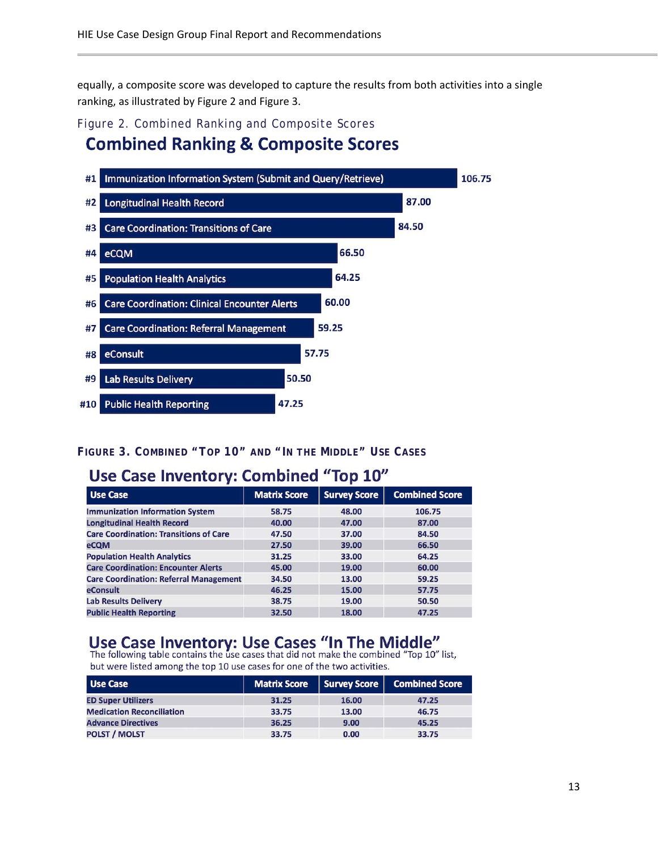equally, a composite score was developed to capture the results from both activities into a single ranking, as illustrated by Figure 2 and Figure 3.

## Figure 2. Combined Ranking and Composite Scores **Combined Ranking & Composite Scores**



#### **FIGURE 3. COMBINED "TOP 10" AND "IN THE MIDDLE" USE CASES**

## Use Case Inventory: Combined "Top 10"

| <b>Use Case</b>                               | <b>Matrix Score</b> | <b>Survey Score</b> | <b>Combined Score</b> |
|-----------------------------------------------|---------------------|---------------------|-----------------------|
| <b>Immunization Information System</b>        | 58.75               | 48.00               | 106.75                |
| <b>Longitudinal Health Record</b>             | 40.00               | 47.00               | 87.00                 |
| <b>Care Coordination: Transitions of Care</b> | 47.50               | 37.00               | 84.50                 |
| eCQM                                          | 27.50               | 39.00               | 66.50                 |
| <b>Population Health Analytics</b>            | 31.25               | 33.00               | 64.25                 |
| <b>Care Coordination: Encounter Alerts</b>    | 45.00               | 19.00               | 60.00                 |
| <b>Care Coordination: Referral Management</b> | 34.50               | 13.00               | 59.25                 |
| eConsult                                      | 46.25               | 15.00               | 57.75                 |
| <b>Lab Results Delivery</b>                   | 38.75               | 19.00               | 50.50                 |
| <b>Public Health Reporting</b>                | 32.50               | 18.00               | 47.25                 |

## Use Case Inventory: Use Cases "In The Middle"<br>The following table contains the use cases that did not make the combined "Top 10" list,

but were listed among the top 10 use cases for one of the two activities.

| Use Case                         | <b>Matrix Score</b> | Survey Score | <b>Combined Score</b> |
|----------------------------------|---------------------|--------------|-----------------------|
| <b>ED Super Utilizers</b>        | 31.25               | 16.00        | 47.25                 |
| <b>Medication Reconciliation</b> | 33.75               | 13.00        | 46.75                 |
| <b>Advance Directives</b>        | 36.25               | 9.00         | 45.25                 |
| <b>POLST / MOLST</b>             | 33.75               | 0.00         | 33.75                 |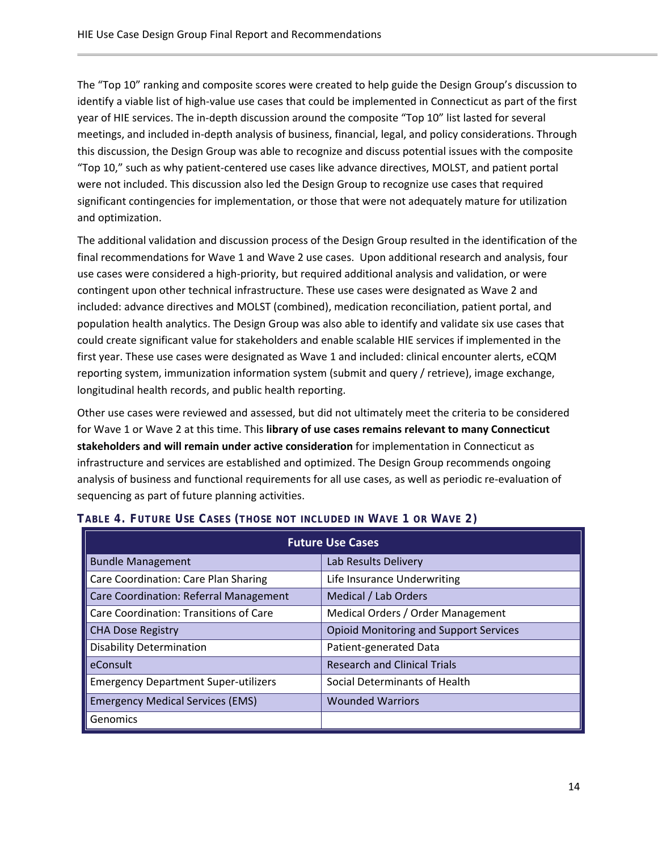The "Top 10" ranking and composite scores were created to help guide the Design Group's discussion to identify a viable list of high-value use cases that could be implemented in Connecticut as part of the first year of HIE services. The in-depth discussion around the composite "Top 10" list lasted for several meetings, and included in-depth analysis of business, financial, legal, and policy considerations. Through this discussion, the Design Group was able to recognize and discuss potential issues with the composite "Top 10," such as why patient-centered use cases like advance directives, MOLST, and patient portal were not included. This discussion also led the Design Group to recognize use cases that required significant contingencies for implementation, or those that were not adequately mature for utilization and optimization.

The additional validation and discussion process of the Design Group resulted in the identification of the final recommendations for Wave 1 and Wave 2 use cases. Upon additional research and analysis, four use cases were considered a high-priority, but required additional analysis and validation, or were contingent upon other technical infrastructure. These use cases were designated as Wave 2 and included: advance directives and MOLST (combined), medication reconciliation, patient portal, and population health analytics. The Design Group was also able to identify and validate six use cases that could create significant value for stakeholders and enable scalable HIE services if implemented in the first year. These use cases were designated as Wave 1 and included: clinical encounter alerts, eCQM reporting system, immunization information system (submit and query / retrieve), image exchange, longitudinal health records, and public health reporting.

Other use cases were reviewed and assessed, but did not ultimately meet the criteria to be considered for Wave 1 or Wave 2 at this time. This **library of use cases remains relevant to many Connecticut stakeholders and will remain under active consideration** for implementation in Connecticut as infrastructure and services are established and optimized. The Design Group recommends ongoing analysis of business and functional requirements for all use cases, as well as periodic re-evaluation of sequencing as part of future planning activities.

| <b>Future Use Cases</b>                     |                                               |  |  |
|---------------------------------------------|-----------------------------------------------|--|--|
| <b>Bundle Management</b>                    | Lab Results Delivery                          |  |  |
| Care Coordination: Care Plan Sharing        | Life Insurance Underwriting                   |  |  |
| Care Coordination: Referral Management      | Medical / Lab Orders                          |  |  |
| Care Coordination: Transitions of Care      | Medical Orders / Order Management             |  |  |
| <b>CHA Dose Registry</b>                    | <b>Opioid Monitoring and Support Services</b> |  |  |
| <b>Disability Determination</b>             | Patient-generated Data                        |  |  |
| eConsult                                    | <b>Research and Clinical Trials</b>           |  |  |
| <b>Emergency Department Super-utilizers</b> | Social Determinants of Health                 |  |  |
| <b>Emergency Medical Services (EMS)</b>     | <b>Wounded Warriors</b>                       |  |  |
| Genomics                                    |                                               |  |  |

#### **TABLE 4. FUTURE USE CASES (THOSE NOT INCLUDED IN WAVE 1 OR WAVE 2)**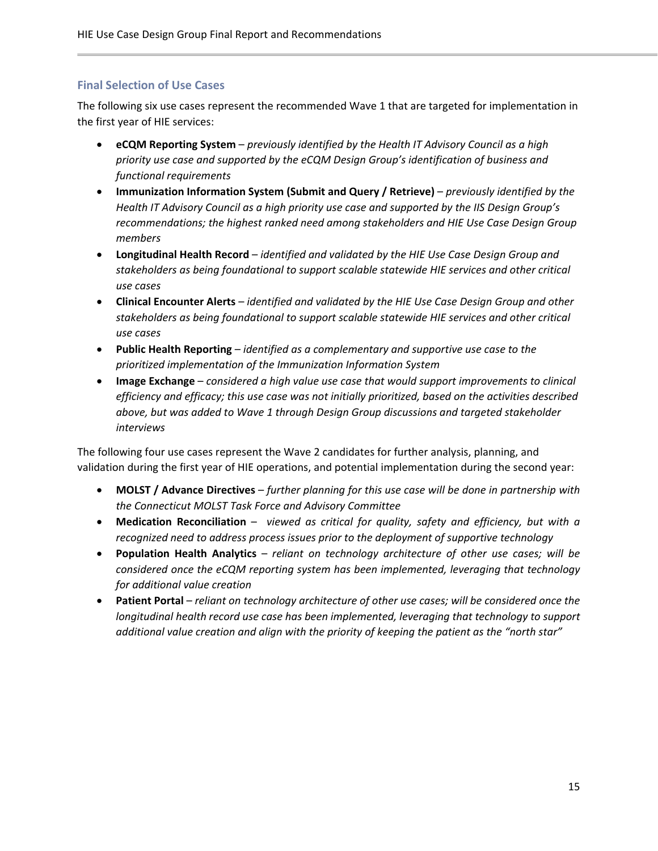#### <span id="page-14-0"></span>**Final Selection of Use Cases**

The following six use cases represent the recommended Wave 1 that are targeted for implementation in the first year of HIE services:

- **eCQM Reporting System**  *previously identified by the Health IT Advisory Council as a high priority use case and supported by the eCQM Design Group's identification of business and functional requirements*
- **Immunization Information System (Submit and Query / Retrieve)**  *previously identified by the Health IT Advisory Council as a high priority use case and supported by the IIS Design Group's recommendations; the highest ranked need among stakeholders and HIE Use Case Design Group members*
- **Longitudinal Health Record** *identified and validated by the HIE Use Case Design Group and stakeholders as being foundational to support scalable statewide HIE services and other critical use cases*
- **Clinical Encounter Alerts** *identified and validated by the HIE Use Case Design Group and other stakeholders as being foundational to support scalable statewide HIE services and other critical use cases*
- **Public Health Reporting** *identified as a complementary and supportive use case to the prioritized implementation of the Immunization Information System*
- **Image Exchange** *considered a high value use case that would support improvements to clinical efficiency and efficacy; this use case was not initially prioritized, based on the activities described above, but was added to Wave 1 through Design Group discussions and targeted stakeholder interviews*

The following four use cases represent the Wave 2 candidates for further analysis, planning, and validation during the first year of HIE operations, and potential implementation during the second year:

- **MOLST / Advance Directives** *further planning for this use case will be done in partnership with the Connecticut MOLST Task Force and Advisory Committee*
- **Medication Reconciliation** *viewed as critical for quality, safety and efficiency, but with a recognized need to address process issues prior to the deployment of supportive technology*
- **Population Health Analytics** *reliant on technology architecture of other use cases; will be considered once the eCQM reporting system has been implemented, leveraging that technology for additional value creation*
- <span id="page-14-1"></span>• **Patient Portal** – *reliant on technology architecture of other use cases; will be considered once the longitudinal health record use case has been implemented, leveraging that technology to support additional value creation and align with the priority of keeping the patient as the "north star"*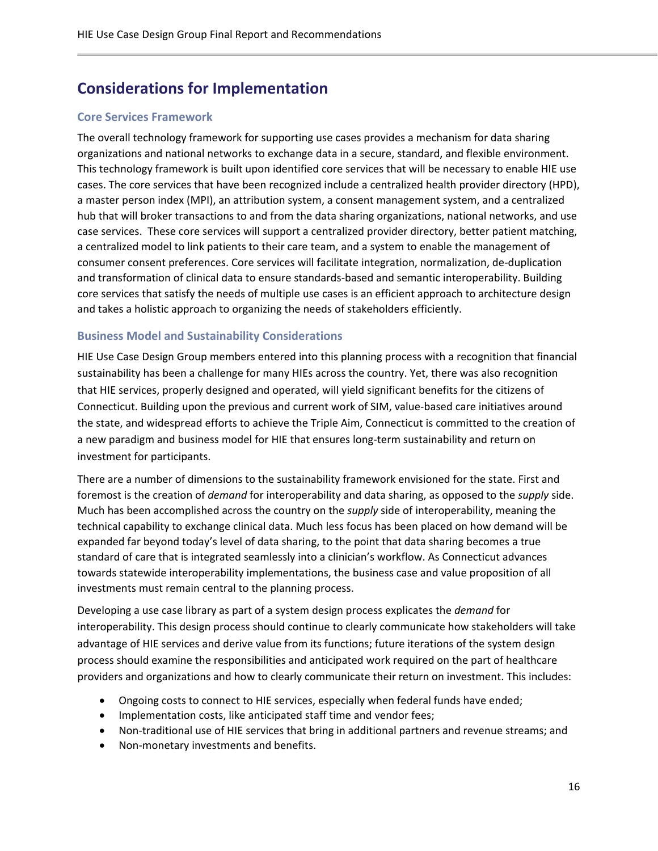## **Considerations for Implementation**

#### <span id="page-15-0"></span>**Core Services Framework**

The overall technology framework for supporting use cases provides a mechanism for data sharing organizations and national networks to exchange data in a secure, standard, and flexible environment. This technology framework is built upon identified core services that will be necessary to enable HIE use cases. The core services that have been recognized include a centralized health provider directory (HPD), a master person index (MPI), an attribution system, a consent management system, and a centralized hub that will broker transactions to and from the data sharing organizations, national networks, and use case services. These core services will support a centralized provider directory, better patient matching, a centralized model to link patients to their care team, and a system to enable the management of consumer consent preferences. Core services will facilitate integration, normalization, de-duplication and transformation of clinical data to ensure standards-based and semantic interoperability. Building core services that satisfy the needs of multiple use cases is an efficient approach to architecture design and takes a holistic approach to organizing the needs of stakeholders efficiently.

#### <span id="page-15-1"></span>**Business Model and Sustainability Considerations**

HIE Use Case Design Group members entered into this planning process with a recognition that financial sustainability has been a challenge for many HIEs across the country. Yet, there was also recognition that HIE services, properly designed and operated, will yield significant benefits for the citizens of Connecticut. Building upon the previous and current work of SIM, value-based care initiatives around the state, and widespread efforts to achieve the Triple Aim, Connecticut is committed to the creation of a new paradigm and business model for HIE that ensures long-term sustainability and return on investment for participants.

There are a number of dimensions to the sustainability framework envisioned for the state. First and foremost is the creation of *demand* for interoperability and data sharing, as opposed to the *supply* side. Much has been accomplished across the country on the *supply* side of interoperability, meaning the technical capability to exchange clinical data. Much less focus has been placed on how demand will be expanded far beyond today's level of data sharing, to the point that data sharing becomes a true standard of care that is integrated seamlessly into a clinician's workflow. As Connecticut advances towards statewide interoperability implementations, the business case and value proposition of all investments must remain central to the planning process.

Developing a use case library as part of a system design process explicates the *demand* for interoperability. This design process should continue to clearly communicate how stakeholders will take advantage of HIE services and derive value from its functions; future iterations of the system design process should examine the responsibilities and anticipated work required on the part of healthcare providers and organizations and how to clearly communicate their return on investment. This includes:

- Ongoing costs to connect to HIE services, especially when federal funds have ended;
- Implementation costs, like anticipated staff time and vendor fees;
- Non-traditional use of HIE services that bring in additional partners and revenue streams; and
- Non-monetary investments and benefits.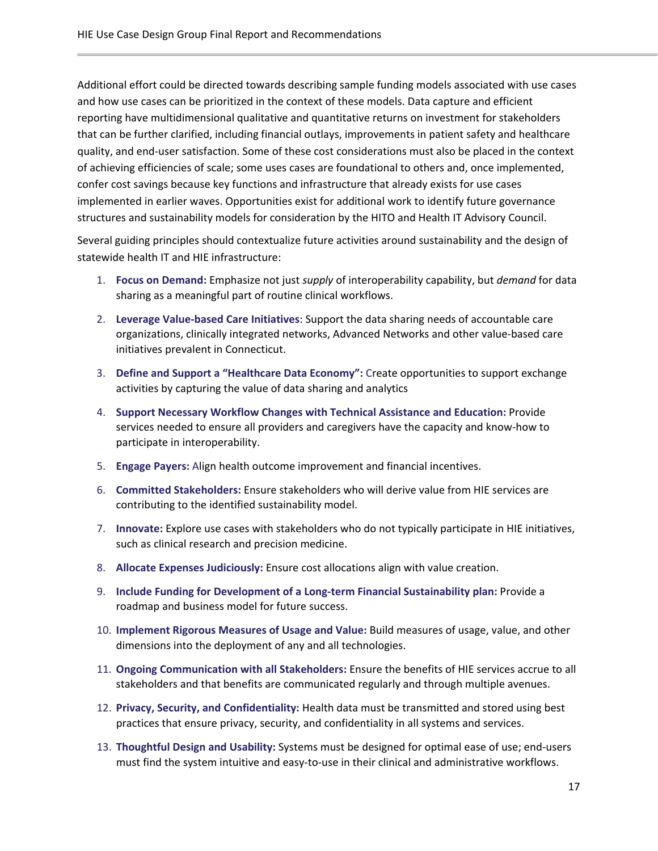Additional effort could be directed towards describing sample funding models associated with use cases and how use cases can be prioritized in the context of these models. Data capture and efficient reporting have multidimensional qualitative and quantitative returns on investment for stakeholders that can be further clarified, including financial outlays, improvements in patient safety and healthcare quality, and end-user satisfaction. Some of these cost considerations must also be placed in the context of achieving efficiencies of scale; some uses cases are foundational to others and, once implemented, confer cost savings because key functions and infrastructure that already exists for use cases implemented in earlier waves. Opportunities exist for additional work to identify future governance structures and sustainability models for consideration by the HITO and Health IT Advisory Council.

Several guiding principles should contextualize future activities around sustainability and the design of statewide health IT and HIE infrastructure:

- 1. **Focus on Demand:** Emphasize not just *supply* of interoperability capability, but *demand* for data sharing as a meaningful part of routine clinical workflows.
- 2. **Leverage Value-based Care Initiatives**: Support the data sharing needs of accountable care organizations, clinically integrated networks, Advanced Networks and other value-based care initiatives prevalent in Connecticut.
- 3. **Define and Support a "Healthcare Data Economy":** Create opportunities to support exchange activities by capturing the value of data sharing and analytics
- 4. **Support Necessary Workflow Changes with Technical Assistance and Education:** Provide services needed to ensure all providers and caregivers have the capacity and know-how to participate in interoperability.
- 5. **Engage Payers:** Align health outcome improvement and financial incentives.
- 6. **Committed Stakeholders:** Ensure stakeholders who will derive value from HIE services are contributing to the identified sustainability model.
- 7. **Innovate:** Explore use cases with stakeholders who do not typically participate in HIE initiatives, such as clinical research and precision medicine.
- 8. **Allocate Expenses Judiciously:** Ensure cost allocations align with value creation.
- 9. **Include Funding for Development of a Long-term Financial Sustainability plan:** Provide a roadmap and business model for future success.
- 10. **Implement Rigorous Measures of Usage and Value:** Build measures of usage, value, and other dimensions into the deployment of any and all technologies.
- 11. **Ongoing Communication with all Stakeholders:** Ensure the benefits of HIE services accrue to all stakeholders and that benefits are communicated regularly and through multiple avenues.
- 12. **Privacy, Security, and Confidentiality:** Health data must be transmitted and stored using best practices that ensure privacy, security, and confidentiality in all systems and services.
- 13. **Thoughtful Design and Usability:** Systems must be designed for optimal ease of use; end-users must find the system intuitive and easy-to-use in their clinical and administrative workflows.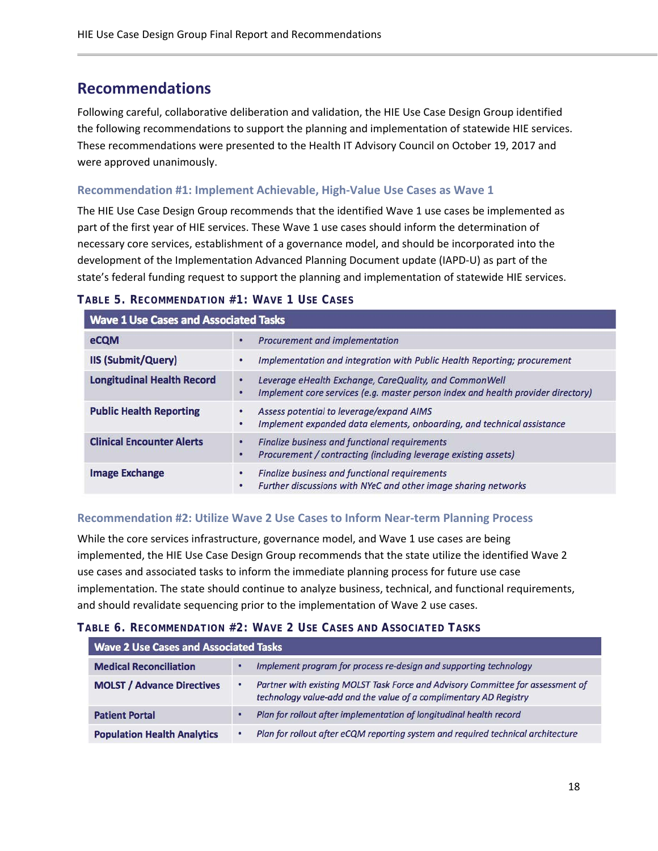## <span id="page-17-0"></span>**Recommendations**

Following careful, collaborative deliberation and validation, the HIE Use Case Design Group identified the following recommendations to support the planning and implementation of statewide HIE services. These recommendations were presented to the Health IT Advisory Council on October 19, 2017 and were approved unanimously.

#### <span id="page-17-1"></span>**Recommendation #1: Implement Achievable, High-Value Use Cases as Wave 1**

The HIE Use Case Design Group recommends that the identified Wave 1 use cases be implemented as part of the first year of HIE services. These Wave 1 use cases should inform the determination of necessary core services, establishment of a governance model, and should be incorporated into the development of the Implementation Advanced Planning Document update (IAPD-U) as part of the state's federal funding request to support the planning and implementation of statewide HIE services.

| <b>Wave 1 Use Cases and Associated Tasks</b> |                                                                                                                                                      |  |  |
|----------------------------------------------|------------------------------------------------------------------------------------------------------------------------------------------------------|--|--|
| eCQM                                         | Procurement and implementation                                                                                                                       |  |  |
| <b>IIS (Submit/Query)</b>                    | Implementation and integration with Public Health Reporting; procurement<br>٠                                                                        |  |  |
| <b>Longitudinal Health Record</b>            | Leverage eHealth Exchange, CareQuality, and CommonWell<br>٠<br>Implement core services (e.g. master person index and health provider directory)<br>٠ |  |  |
| <b>Public Health Reporting</b>               | Assess potential to leverage/expand AIMS<br>Implement expanded data elements, onboarding, and technical assistance<br>٠                              |  |  |
| <b>Clinical Encounter Alerts</b>             | Finalize business and functional requirements<br>۰<br>Procurement / contracting (including leverage existing assets)<br>о                            |  |  |
| <b>Image Exchange</b>                        | Finalize business and functional requirements<br>٠<br>Further discussions with NYeC and other image sharing networks<br>۰                            |  |  |

#### **TABLE 5. RECOMMENDATION #1: WAVE 1 USE CASES**

#### <span id="page-17-2"></span>**Recommendation #2: Utilize Wave 2 Use Cases to Inform Near-term Planning Process**

While the core services infrastructure, governance model, and Wave 1 use cases are being implemented, the HIE Use Case Design Group recommends that the state utilize the identified Wave 2 use cases and associated tasks to inform the immediate planning process for future use case implementation. The state should continue to analyze business, technical, and functional requirements, and should revalidate sequencing prior to the implementation of Wave 2 use cases.

#### **TABLE 6. RECOMMENDATION #2: WAVE 2 USE CASES AND ASSOCIATED TASKS**

| <b>Wave 2 Use Cases and Associated Tasks</b> |                                                                                                                                                           |  |  |
|----------------------------------------------|-----------------------------------------------------------------------------------------------------------------------------------------------------------|--|--|
| <b>Medical Reconciliation</b>                | Implement program for process re-design and supporting technology                                                                                         |  |  |
| <b>MOLST / Advance Directives</b>            | Partner with existing MOLST Task Force and Advisory Committee for assessment of<br>٠<br>technology value-add and the value of a complimentary AD Registry |  |  |
| <b>Patient Portal</b>                        | Plan for rollout after implementation of longitudinal health record                                                                                       |  |  |
| <b>Population Health Analytics</b>           | Plan for rollout after eCQM reporting system and required technical architecture<br>٠                                                                     |  |  |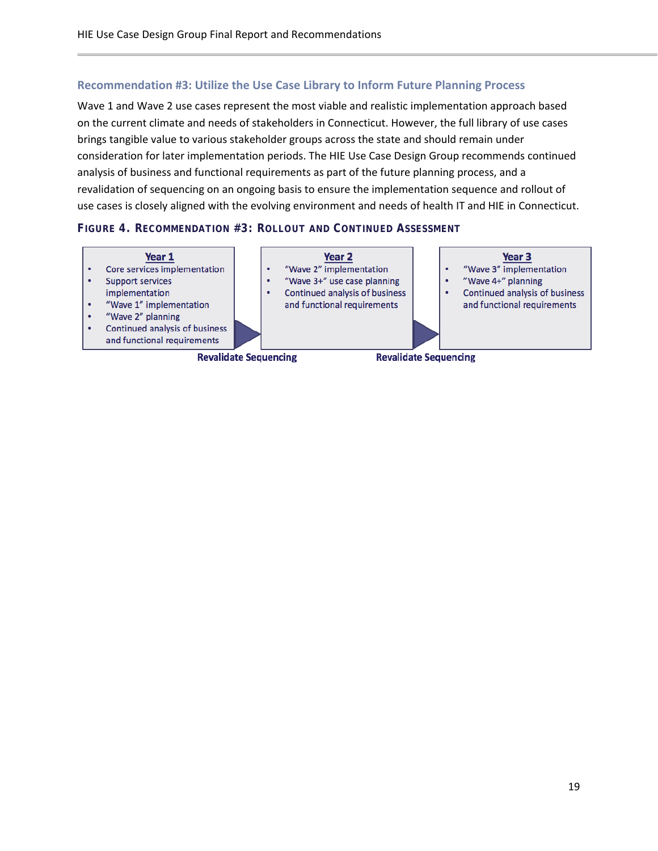#### <span id="page-18-0"></span>**Recommendation #3: Utilize the Use Case Library to Inform Future Planning Process**

Wave 1 and Wave 2 use cases represent the most viable and realistic implementation approach based on the current climate and needs of stakeholders in Connecticut. However, the full library of use cases brings tangible value to various stakeholder groups across the state and should remain under consideration for later implementation periods. The HIE Use Case Design Group recommends continued analysis of business and functional requirements as part of the future planning process, and a revalidation of sequencing on an ongoing basis to ensure the implementation sequence and rollout of use cases is closely aligned with the evolving environment and needs of health IT and HIE in Connecticut.

#### **FIGURE 4. RECOMMENDATION #3: ROLLOUT AND CONTINUED ASSESSMENT**

<span id="page-18-1"></span>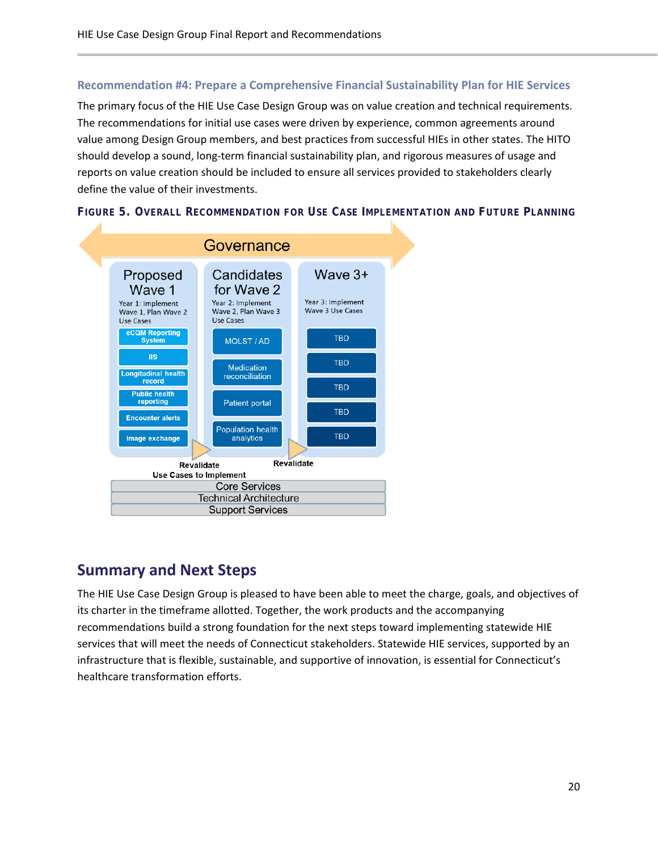#### **Recommendation #4: Prepare a Comprehensive Financial Sustainability Plan for HIE Services**

The primary focus of the HIE Use Case Design Group was on value creation and technical requirements. The recommendations for initial use cases were driven by experience, common agreements around value among Design Group members, and best practices from successful HIEs in other states. The HITO should develop a sound, long-term financial sustainability plan, and rigorous measures of usage and reports on value creation should be included to ensure all services provided to stakeholders clearly define the value of their investments.





### <span id="page-19-0"></span>**Summary and Next Steps**

The HIE Use Case Design Group is pleased to have been able to meet the charge, goals, and objectives of its charter in the timeframe allotted. Together, the work products and the accompanying recommendations build a strong foundation for the next steps toward implementing statewide HIE services that will meet the needs of Connecticut stakeholders. Statewide HIE services, supported by an infrastructure that is flexible, sustainable, and supportive of innovation, is essential for Connecticut's healthcare transformation efforts.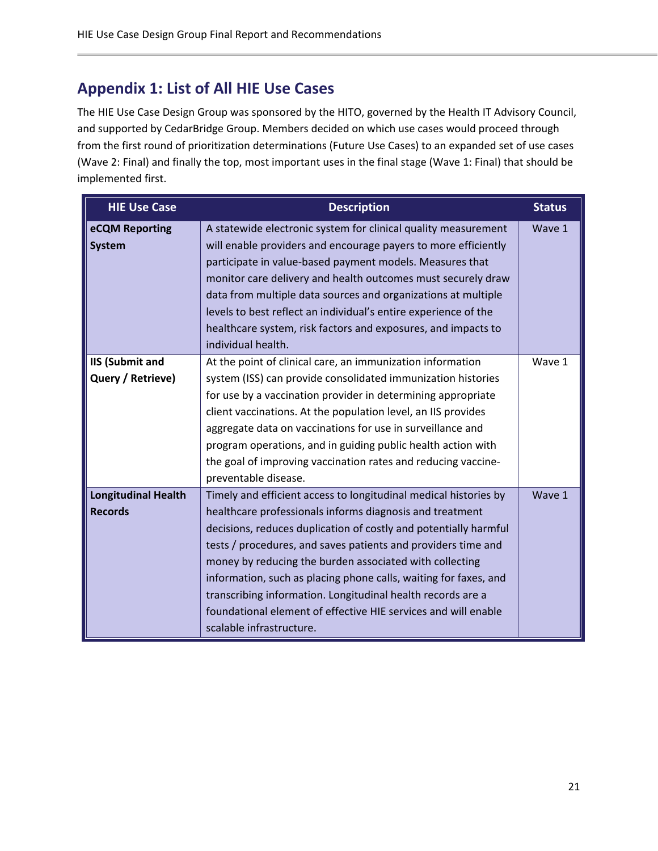## <span id="page-20-0"></span>**Appendix 1: List of All HIE Use Cases**

The HIE Use Case Design Group was sponsored by the HITO, governed by the Health IT Advisory Council, and supported by CedarBridge Group. Members decided on which use cases would proceed through from the first round of prioritization determinations (Future Use Cases) to an expanded set of use cases (Wave 2: Final) and finally the top, most important uses in the final stage (Wave 1: Final) that should be implemented first.

| <b>HIE Use Case</b>                          | <b>Description</b>                                                                                                                                                                                                                                                                                                                                                                                                                                                                                                                                            | <b>Status</b> |
|----------------------------------------------|---------------------------------------------------------------------------------------------------------------------------------------------------------------------------------------------------------------------------------------------------------------------------------------------------------------------------------------------------------------------------------------------------------------------------------------------------------------------------------------------------------------------------------------------------------------|---------------|
| eCQM Reporting<br><b>System</b>              | A statewide electronic system for clinical quality measurement<br>will enable providers and encourage payers to more efficiently<br>participate in value-based payment models. Measures that<br>monitor care delivery and health outcomes must securely draw<br>data from multiple data sources and organizations at multiple<br>levels to best reflect an individual's entire experience of the<br>healthcare system, risk factors and exposures, and impacts to<br>individual health.                                                                       | Wave 1        |
| <b>IIS (Submit and</b><br>Query / Retrieve)  | At the point of clinical care, an immunization information<br>system (ISS) can provide consolidated immunization histories<br>for use by a vaccination provider in determining appropriate<br>client vaccinations. At the population level, an IIS provides<br>aggregate data on vaccinations for use in surveillance and<br>program operations, and in guiding public health action with<br>the goal of improving vaccination rates and reducing vaccine-<br>preventable disease.                                                                            | Wave 1        |
| <b>Longitudinal Health</b><br><b>Records</b> | Timely and efficient access to longitudinal medical histories by<br>healthcare professionals informs diagnosis and treatment<br>decisions, reduces duplication of costly and potentially harmful<br>tests / procedures, and saves patients and providers time and<br>money by reducing the burden associated with collecting<br>information, such as placing phone calls, waiting for faxes, and<br>transcribing information. Longitudinal health records are a<br>foundational element of effective HIE services and will enable<br>scalable infrastructure. | Wave 1        |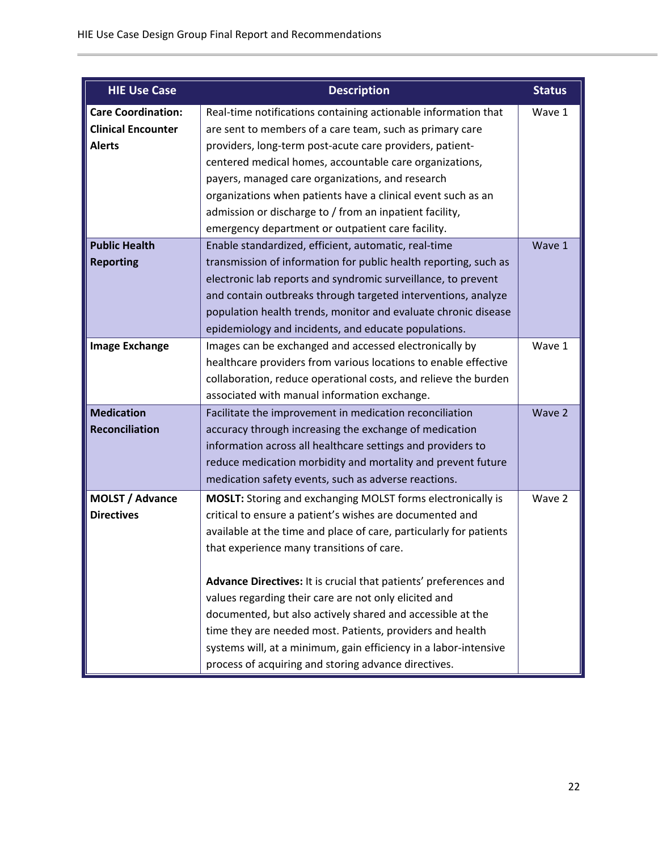| <b>HIE Use Case</b>       | <b>Description</b>                                                 | <b>Status</b> |
|---------------------------|--------------------------------------------------------------------|---------------|
| <b>Care Coordination:</b> | Real-time notifications containing actionable information that     | Wave 1        |
| <b>Clinical Encounter</b> | are sent to members of a care team, such as primary care           |               |
| <b>Alerts</b>             | providers, long-term post-acute care providers, patient-           |               |
|                           | centered medical homes, accountable care organizations,            |               |
|                           | payers, managed care organizations, and research                   |               |
|                           | organizations when patients have a clinical event such as an       |               |
|                           | admission or discharge to / from an inpatient facility,            |               |
|                           | emergency department or outpatient care facility.                  |               |
| <b>Public Health</b>      | Enable standardized, efficient, automatic, real-time               | Wave 1        |
| <b>Reporting</b>          | transmission of information for public health reporting, such as   |               |
|                           | electronic lab reports and syndromic surveillance, to prevent      |               |
|                           | and contain outbreaks through targeted interventions, analyze      |               |
|                           | population health trends, monitor and evaluate chronic disease     |               |
|                           | epidemiology and incidents, and educate populations.               |               |
| <b>Image Exchange</b>     | Images can be exchanged and accessed electronically by             | Wave 1        |
|                           | healthcare providers from various locations to enable effective    |               |
|                           | collaboration, reduce operational costs, and relieve the burden    |               |
|                           | associated with manual information exchange.                       |               |
| <b>Medication</b>         | Facilitate the improvement in medication reconciliation            | Wave 2        |
| <b>Reconciliation</b>     | accuracy through increasing the exchange of medication             |               |
|                           | information across all healthcare settings and providers to        |               |
|                           | reduce medication morbidity and mortality and prevent future       |               |
|                           | medication safety events, such as adverse reactions.               |               |
| MOLST / Advance           | <b>MOSLT:</b> Storing and exchanging MOLST forms electronically is | Wave 2        |
| <b>Directives</b>         | critical to ensure a patient's wishes are documented and           |               |
|                           | available at the time and place of care, particularly for patients |               |
|                           | that experience many transitions of care.                          |               |
|                           |                                                                    |               |
|                           | Advance Directives: It is crucial that patients' preferences and   |               |
|                           | values regarding their care are not only elicited and              |               |
|                           | documented, but also actively shared and accessible at the         |               |
|                           | time they are needed most. Patients, providers and health          |               |
|                           | systems will, at a minimum, gain efficiency in a labor-intensive   |               |
|                           | process of acquiring and storing advance directives.               |               |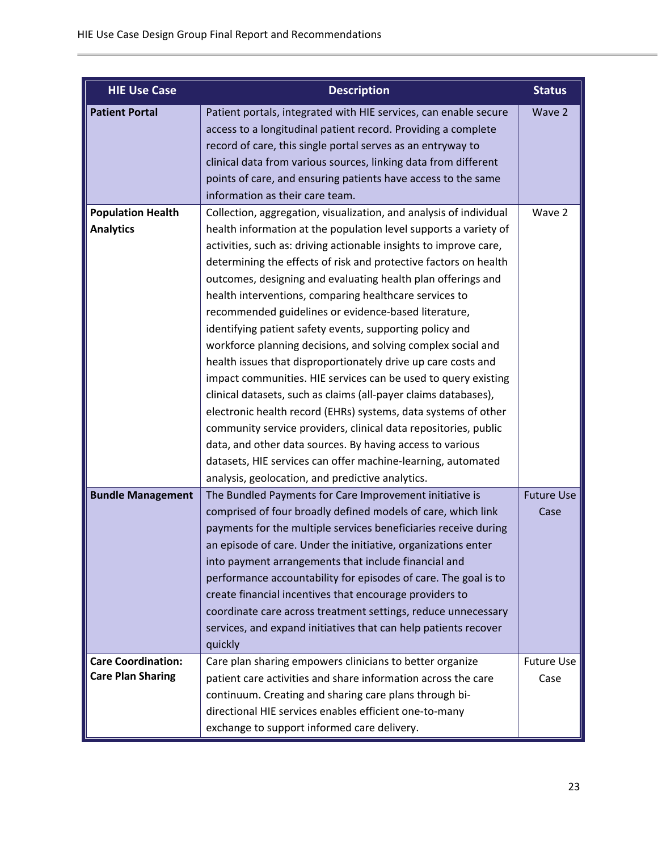| <b>HIE Use Case</b>       | <b>Description</b>                                                 | <b>Status</b>     |
|---------------------------|--------------------------------------------------------------------|-------------------|
| <b>Patient Portal</b>     | Patient portals, integrated with HIE services, can enable secure   | Wave 2            |
|                           | access to a longitudinal patient record. Providing a complete      |                   |
|                           | record of care, this single portal serves as an entryway to        |                   |
|                           | clinical data from various sources, linking data from different    |                   |
|                           | points of care, and ensuring patients have access to the same      |                   |
|                           | information as their care team.                                    |                   |
| <b>Population Health</b>  | Collection, aggregation, visualization, and analysis of individual | Wave 2            |
| <b>Analytics</b>          | health information at the population level supports a variety of   |                   |
|                           | activities, such as: driving actionable insights to improve care,  |                   |
|                           | determining the effects of risk and protective factors on health   |                   |
|                           | outcomes, designing and evaluating health plan offerings and       |                   |
|                           | health interventions, comparing healthcare services to             |                   |
|                           | recommended guidelines or evidence-based literature,               |                   |
|                           | identifying patient safety events, supporting policy and           |                   |
|                           | workforce planning decisions, and solving complex social and       |                   |
|                           | health issues that disproportionately drive up care costs and      |                   |
|                           | impact communities. HIE services can be used to query existing     |                   |
|                           | clinical datasets, such as claims (all-payer claims databases),    |                   |
|                           | electronic health record (EHRs) systems, data systems of other     |                   |
|                           | community service providers, clinical data repositories, public    |                   |
|                           | data, and other data sources. By having access to various          |                   |
|                           | datasets, HIE services can offer machine-learning, automated       |                   |
|                           | analysis, geolocation, and predictive analytics.                   |                   |
| <b>Bundle Management</b>  | The Bundled Payments for Care Improvement initiative is            | <b>Future Use</b> |
|                           | comprised of four broadly defined models of care, which link       | Case              |
|                           | payments for the multiple services beneficiaries receive during    |                   |
|                           | an episode of care. Under the initiative, organizations enter      |                   |
|                           | into payment arrangements that include financial and               |                   |
|                           | performance accountability for episodes of care. The goal is to    |                   |
|                           | create financial incentives that encourage providers to            |                   |
|                           | coordinate care across treatment settings, reduce unnecessary      |                   |
|                           | services, and expand initiatives that can help patients recover    |                   |
|                           | quickly                                                            |                   |
| <b>Care Coordination:</b> | Care plan sharing empowers clinicians to better organize           | <b>Future Use</b> |
| <b>Care Plan Sharing</b>  | patient care activities and share information across the care      | Case              |
|                           | continuum. Creating and sharing care plans through bi-             |                   |
|                           | directional HIE services enables efficient one-to-many             |                   |
|                           | exchange to support informed care delivery.                        |                   |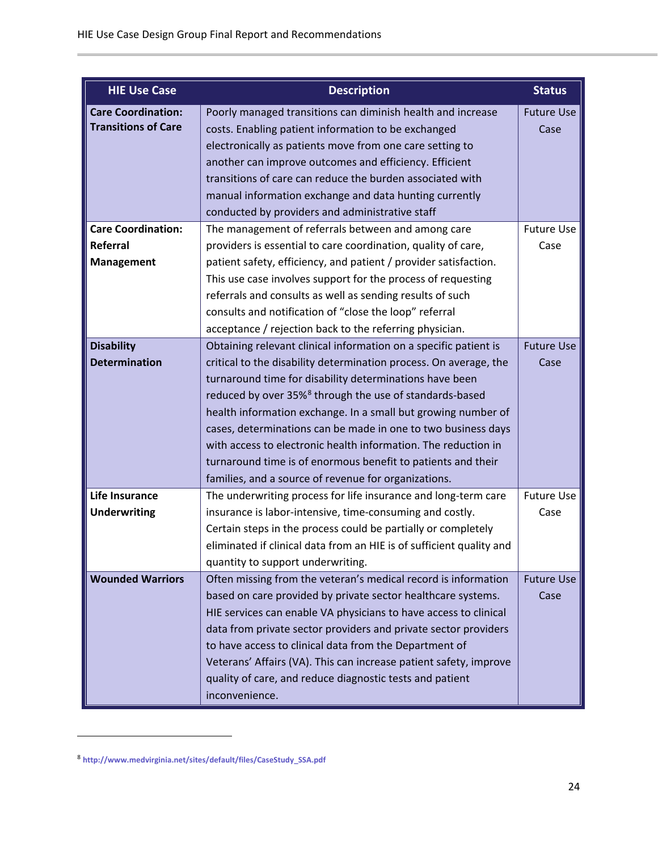| <b>HIE Use Case</b>        | <b>Description</b>                                                   | <b>Status</b>     |
|----------------------------|----------------------------------------------------------------------|-------------------|
| <b>Care Coordination:</b>  | Poorly managed transitions can diminish health and increase          | <b>Future Use</b> |
| <b>Transitions of Care</b> | costs. Enabling patient information to be exchanged                  | Case              |
|                            | electronically as patients move from one care setting to             |                   |
|                            | another can improve outcomes and efficiency. Efficient               |                   |
|                            | transitions of care can reduce the burden associated with            |                   |
|                            | manual information exchange and data hunting currently               |                   |
|                            | conducted by providers and administrative staff                      |                   |
| <b>Care Coordination:</b>  | The management of referrals between and among care                   | <b>Future Use</b> |
| Referral                   | providers is essential to care coordination, quality of care,        | Case              |
| <b>Management</b>          | patient safety, efficiency, and patient / provider satisfaction.     |                   |
|                            | This use case involves support for the process of requesting         |                   |
|                            | referrals and consults as well as sending results of such            |                   |
|                            | consults and notification of "close the loop" referral               |                   |
|                            | acceptance / rejection back to the referring physician.              |                   |
| <b>Disability</b>          | Obtaining relevant clinical information on a specific patient is     | <b>Future Use</b> |
| <b>Determination</b>       | critical to the disability determination process. On average, the    | Case              |
|                            | turnaround time for disability determinations have been              |                   |
|                            | reduced by over 35% <sup>8</sup> through the use of standards-based  |                   |
|                            | health information exchange. In a small but growing number of        |                   |
|                            | cases, determinations can be made in one to two business days        |                   |
|                            | with access to electronic health information. The reduction in       |                   |
|                            | turnaround time is of enormous benefit to patients and their         |                   |
|                            | families, and a source of revenue for organizations.                 |                   |
| <b>Life Insurance</b>      | The underwriting process for life insurance and long-term care       | <b>Future Use</b> |
| <b>Underwriting</b>        | insurance is labor-intensive, time-consuming and costly.             | Case              |
|                            | Certain steps in the process could be partially or completely        |                   |
|                            | eliminated if clinical data from an HIE is of sufficient quality and |                   |
|                            | quantity to support underwriting.                                    |                   |
| <b>Wounded Warriors</b>    | Often missing from the veteran's medical record is information       | <b>Future Use</b> |
|                            | based on care provided by private sector healthcare systems.         | Case              |
|                            | HIE services can enable VA physicians to have access to clinical     |                   |
|                            | data from private sector providers and private sector providers      |                   |
|                            | to have access to clinical data from the Department of               |                   |
|                            | Veterans' Affairs (VA). This can increase patient safety, improve    |                   |
|                            | quality of care, and reduce diagnostic tests and patient             |                   |
|                            | inconvenience.                                                       |                   |

 $\overline{a}$ 

<span id="page-23-0"></span><sup>8</sup> **[http://www.medvirginia.net/sites/default/files/CaseStudy\\_SSA.pdf](http://www.medvirginia.net/sites/default/files/CaseStudy_SSA.pdf)**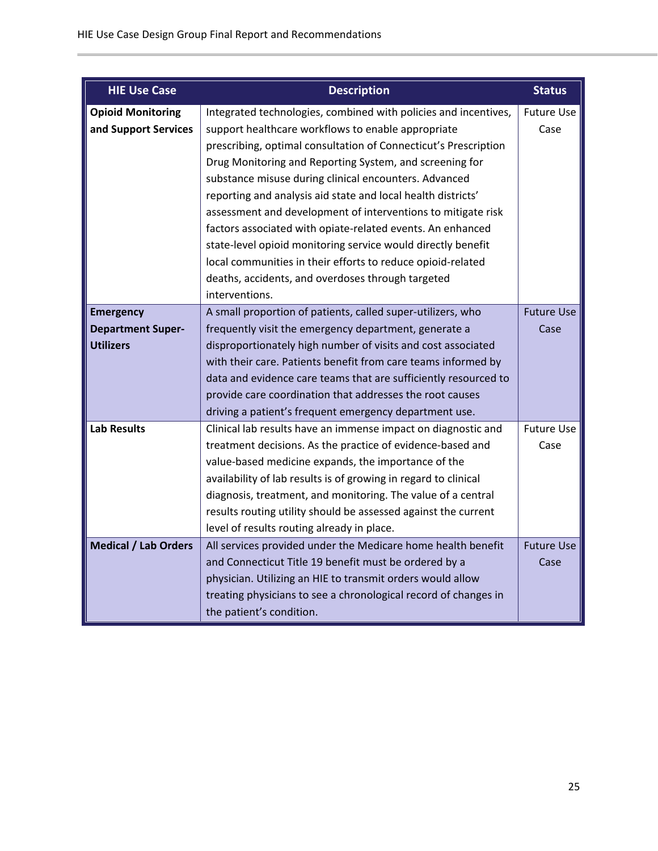| <b>HIE Use Case</b>         | <b>Description</b>                                              | <b>Status</b>     |
|-----------------------------|-----------------------------------------------------------------|-------------------|
| <b>Opioid Monitoring</b>    | Integrated technologies, combined with policies and incentives, | <b>Future Use</b> |
| and Support Services        | support healthcare workflows to enable appropriate              | Case              |
|                             | prescribing, optimal consultation of Connecticut's Prescription |                   |
|                             | Drug Monitoring and Reporting System, and screening for         |                   |
|                             | substance misuse during clinical encounters. Advanced           |                   |
|                             | reporting and analysis aid state and local health districts'    |                   |
|                             | assessment and development of interventions to mitigate risk    |                   |
|                             | factors associated with opiate-related events. An enhanced      |                   |
|                             | state-level opioid monitoring service would directly benefit    |                   |
|                             | local communities in their efforts to reduce opioid-related     |                   |
|                             | deaths, accidents, and overdoses through targeted               |                   |
|                             | interventions.                                                  |                   |
| <b>Emergency</b>            | A small proportion of patients, called super-utilizers, who     | <b>Future Use</b> |
| <b>Department Super-</b>    | frequently visit the emergency department, generate a           | Case              |
| <b>Utilizers</b>            | disproportionately high number of visits and cost associated    |                   |
|                             | with their care. Patients benefit from care teams informed by   |                   |
|                             | data and evidence care teams that are sufficiently resourced to |                   |
|                             | provide care coordination that addresses the root causes        |                   |
|                             | driving a patient's frequent emergency department use.          |                   |
| <b>Lab Results</b>          | Clinical lab results have an immense impact on diagnostic and   | <b>Future Use</b> |
|                             | treatment decisions. As the practice of evidence-based and      | Case              |
|                             | value-based medicine expands, the importance of the             |                   |
|                             | availability of lab results is of growing in regard to clinical |                   |
|                             | diagnosis, treatment, and monitoring. The value of a central    |                   |
|                             | results routing utility should be assessed against the current  |                   |
|                             | level of results routing already in place.                      |                   |
| <b>Medical / Lab Orders</b> | All services provided under the Medicare home health benefit    | <b>Future Use</b> |
|                             | and Connecticut Title 19 benefit must be ordered by a           | Case              |
|                             | physician. Utilizing an HIE to transmit orders would allow      |                   |
|                             | treating physicians to see a chronological record of changes in |                   |
|                             | the patient's condition.                                        |                   |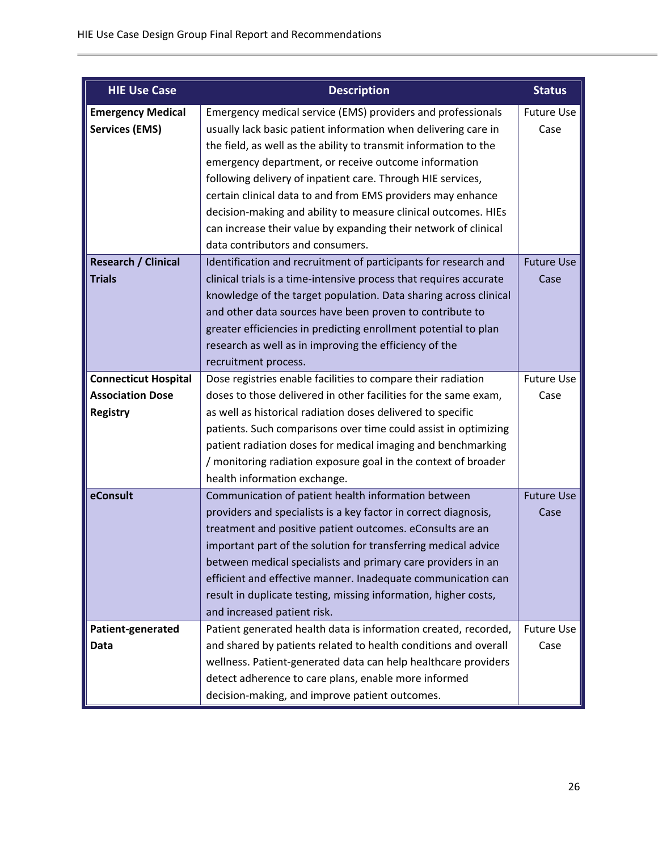| <b>HIE Use Case</b>         | <b>Description</b>                                                                                                             | <b>Status</b>     |
|-----------------------------|--------------------------------------------------------------------------------------------------------------------------------|-------------------|
| <b>Emergency Medical</b>    | Emergency medical service (EMS) providers and professionals                                                                    | <b>Future Use</b> |
| <b>Services (EMS)</b>       | usually lack basic patient information when delivering care in                                                                 | Case              |
|                             | the field, as well as the ability to transmit information to the                                                               |                   |
|                             | emergency department, or receive outcome information                                                                           |                   |
|                             | following delivery of inpatient care. Through HIE services,                                                                    |                   |
|                             | certain clinical data to and from EMS providers may enhance                                                                    |                   |
|                             | decision-making and ability to measure clinical outcomes. HIEs                                                                 |                   |
|                             | can increase their value by expanding their network of clinical                                                                |                   |
|                             | data contributors and consumers.                                                                                               |                   |
| <b>Research / Clinical</b>  | Identification and recruitment of participants for research and                                                                | <b>Future Use</b> |
| <b>Trials</b>               | clinical trials is a time-intensive process that requires accurate                                                             | Case              |
|                             | knowledge of the target population. Data sharing across clinical                                                               |                   |
|                             | and other data sources have been proven to contribute to                                                                       |                   |
|                             | greater efficiencies in predicting enrollment potential to plan                                                                |                   |
|                             | research as well as in improving the efficiency of the                                                                         |                   |
|                             | recruitment process.                                                                                                           |                   |
| <b>Connecticut Hospital</b> | Dose registries enable facilities to compare their radiation                                                                   | <b>Future Use</b> |
| <b>Association Dose</b>     | doses to those delivered in other facilities for the same exam,                                                                | Case              |
| <b>Registry</b>             | as well as historical radiation doses delivered to specific                                                                    |                   |
|                             | patients. Such comparisons over time could assist in optimizing                                                                |                   |
|                             | patient radiation doses for medical imaging and benchmarking                                                                   |                   |
|                             | / monitoring radiation exposure goal in the context of broader                                                                 |                   |
|                             | health information exchange.                                                                                                   |                   |
| eConsult                    | Communication of patient health information between                                                                            | <b>Future Use</b> |
|                             | providers and specialists is a key factor in correct diagnosis,                                                                | Case              |
|                             | treatment and positive patient outcomes. eConsults are an                                                                      |                   |
|                             | important part of the solution for transferring medical advice<br>between medical specialists and primary care providers in an |                   |
|                             | efficient and effective manner. Inadequate communication can                                                                   |                   |
|                             | result in duplicate testing, missing information, higher costs,                                                                |                   |
|                             | and increased patient risk.                                                                                                    |                   |
| Patient-generated           | Patient generated health data is information created, recorded,                                                                | <b>Future Use</b> |
| Data                        | and shared by patients related to health conditions and overall                                                                | Case              |
|                             | wellness. Patient-generated data can help healthcare providers                                                                 |                   |
|                             | detect adherence to care plans, enable more informed                                                                           |                   |
|                             | decision-making, and improve patient outcomes.                                                                                 |                   |